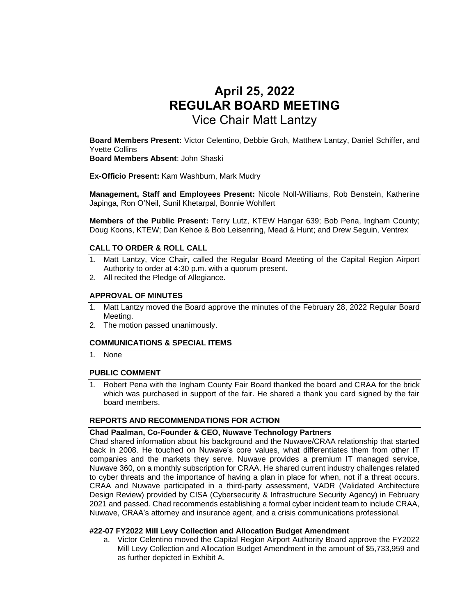# **April 25, 2022 REGULAR BOARD MEETING** Vice Chair Matt Lantzy

**Board Members Present:** Victor Celentino, Debbie Groh, Matthew Lantzy, Daniel Schiffer, and Yvette Collins

**Board Members Absent**: John Shaski

**Ex-Officio Present:** Kam Washburn, Mark Mudry

**Management, Staff and Employees Present:** Nicole Noll-Williams, Rob Benstein, Katherine Japinga, Ron O'Neil, Sunil Khetarpal, Bonnie Wohlfert

**Members of the Public Present:** Terry Lutz, KTEW Hangar 639; Bob Pena, Ingham County; Doug Koons, KTEW; Dan Kehoe & Bob Leisenring, Mead & Hunt; and Drew Seguin, Ventrex

# **CALL TO ORDER & ROLL CALL**

- 1. Matt Lantzy, Vice Chair, called the Regular Board Meeting of the Capital Region Airport Authority to order at 4:30 p.m. with a quorum present.
- 2. All recited the Pledge of Allegiance.

# **APPROVAL OF MINUTES**

- 1. Matt Lantzy moved the Board approve the minutes of the February 28, 2022 Regular Board Meeting.
- 2. The motion passed unanimously.

## **COMMUNICATIONS & SPECIAL ITEMS**

1. None

# **PUBLIC COMMENT**

Robert Pena with the Ingham County Fair Board thanked the board and CRAA for the brick which was purchased in support of the fair. He shared a thank you card signed by the fair board members.

## **REPORTS AND RECOMMENDATIONS FOR ACTION**

# **Chad Paalman, Co-Founder & CEO, Nuwave Technology Partners**

Chad shared information about his background and the Nuwave/CRAA relationship that started back in 2008. He touched on Nuwave's core values, what differentiates them from other IT companies and the markets they serve. Nuwave provides a premium IT managed service, Nuwave 360, on a monthly subscription for CRAA. He shared current industry challenges related to cyber threats and the importance of having a plan in place for when, not if a threat occurs. CRAA and Nuwave participated in a third-party assessment, VADR (Validated Architecture Design Review) provided by CISA (Cybersecurity & Infrastructure Security Agency) in February 2021 and passed. Chad recommends establishing a formal cyber incident team to include CRAA, Nuwave, CRAA's attorney and insurance agent, and a crisis communications professional.

## **#22-07 FY2022 Mill Levy Collection and Allocation Budget Amendment**

a. Victor Celentino moved the Capital Region Airport Authority Board approve the FY2022 Mill Levy Collection and Allocation Budget Amendment in the amount of \$5,733,959 and as further depicted in Exhibit A.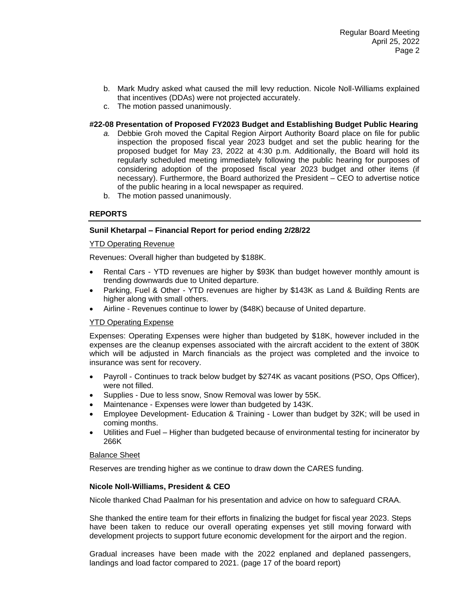- b. Mark Mudry asked what caused the mill levy reduction. Nicole Noll-Williams explained that incentives (DDAs) were not projected accurately.
- c. The motion passed unanimously.

# **#22-08 Presentation of Proposed FY2023 Budget and Establishing Budget Public Hearing**

- *a.* Debbie Groh moved the Capital Region Airport Authority Board place on file for public inspection the proposed fiscal year 2023 budget and set the public hearing for the proposed budget for May 23, 2022 at 4:30 p.m. Additionally, the Board will hold its regularly scheduled meeting immediately following the public hearing for purposes of considering adoption of the proposed fiscal year 2023 budget and other items (if necessary). Furthermore, the Board authorized the President – CEO to advertise notice of the public hearing in a local newspaper as required.
- b. The motion passed unanimously.

# **REPORTS**

# **Sunil Khetarpal – Financial Report for period ending 2/28/22**

## YTD Operating Revenue

Revenues: Overall higher than budgeted by \$188K.

- Rental Cars YTD revenues are higher by \$93K than budget however monthly amount is trending downwards due to United departure.
- Parking, Fuel & Other YTD revenues are higher by \$143K as Land & Building Rents are higher along with small others.
- Airline Revenues continue to lower by (\$48K) because of United departure.

#### YTD Operating Expense

Expenses: Operating Expenses were higher than budgeted by \$18K, however included in the expenses are the cleanup expenses associated with the aircraft accident to the extent of 380K which will be adjusted in March financials as the project was completed and the invoice to insurance was sent for recovery.

- Payroll Continues to track below budget by \$274K as vacant positions (PSO, Ops Officer), were not filled.
- Supplies Due to less snow, Snow Removal was lower by 55K.
- Maintenance Expenses were lower than budgeted by 143K.
- Employee Development- Education & Training Lower than budget by 32K; will be used in coming months.
- Utilities and Fuel Higher than budgeted because of environmental testing for incinerator by 266K

#### Balance Sheet

Reserves are trending higher as we continue to draw down the CARES funding.

#### **Nicole Noll-Williams, President & CEO**

Nicole thanked Chad Paalman for his presentation and advice on how to safeguard CRAA.

She thanked the entire team for their efforts in finalizing the budget for fiscal year 2023. Steps have been taken to reduce our overall operating expenses yet still moving forward with development projects to support future economic development for the airport and the region.

Gradual increases have been made with the 2022 enplaned and deplaned passengers, landings and load factor compared to 2021. (page 17 of the board report)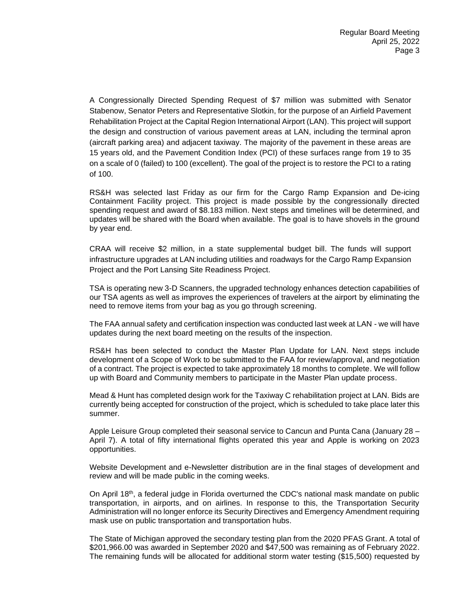A Congressionally Directed Spending Request of \$7 million was submitted with Senator Stabenow, Senator Peters and Representative Slotkin, for the purpose of an Airfield Pavement Rehabilitation Project at the Capital Region International Airport (LAN). This project will support the design and construction of various pavement areas at LAN, including the terminal apron (aircraft parking area) and adjacent taxiway. The majority of the pavement in these areas are 15 years old, and the Pavement Condition Index (PCI) of these surfaces range from 19 to 35 on a scale of 0 (failed) to 100 (excellent). The goal of the project is to restore the PCI to a rating of 100.

RS&H was selected last Friday as our firm for the Cargo Ramp Expansion and De-icing Containment Facility project. This project is made possible by the congressionally directed spending request and award of \$8.183 million. Next steps and timelines will be determined, and updates will be shared with the Board when available. The goal is to have shovels in the ground by year end.

CRAA will receive \$2 million, in a state supplemental budget bill. The funds will support infrastructure upgrades at LAN including utilities and roadways for the Cargo Ramp Expansion Project and the Port Lansing Site Readiness Project.

TSA is operating new 3-D Scanners, the upgraded technology enhances detection capabilities of our TSA agents as well as improves the experiences of travelers at the airport by eliminating the need to remove items from your bag as you go through screening.

The FAA annual safety and certification inspection was conducted last week at LAN - we will have updates during the next board meeting on the results of the inspection.

RS&H has been selected to conduct the Master Plan Update for LAN. Next steps include development of a Scope of Work to be submitted to the FAA for review/approval, and negotiation of a contract. The project is expected to take approximately 18 months to complete. We will follow up with Board and Community members to participate in the Master Plan update process.

Mead & Hunt has completed design work for the Taxiway C rehabilitation project at LAN. Bids are currently being accepted for construction of the project, which is scheduled to take place later this summer.

Apple Leisure Group completed their seasonal service to Cancun and Punta Cana (January 28 – April 7). A total of fifty international flights operated this year and Apple is working on 2023 opportunities.

Website Development and e-Newsletter distribution are in the final stages of development and review and will be made public in the coming weeks.

On April 18th, a federal judge in Florida overturned the CDC's national mask mandate on public transportation, in airports, and on airlines. In response to this, the Transportation Security Administration will no longer enforce its Security Directives and Emergency Amendment requiring mask use on public transportation and transportation hubs.

The State of Michigan approved the secondary testing plan from the 2020 PFAS Grant. A total of \$201,966.00 was awarded in September 2020 and \$47,500 was remaining as of February 2022. The remaining funds will be allocated for additional storm water testing (\$15,500) requested by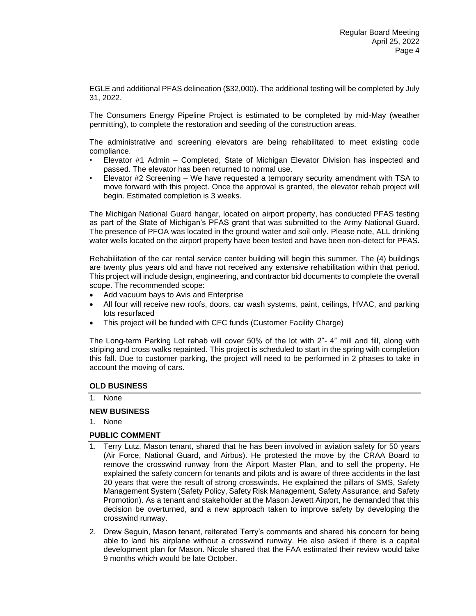EGLE and additional PFAS delineation (\$32,000). The additional testing will be completed by July 31, 2022.

The Consumers Energy Pipeline Project is estimated to be completed by mid-May (weather permitting), to complete the restoration and seeding of the construction areas.

The administrative and screening elevators are being rehabilitated to meet existing code compliance.

- Elevator #1 Admin Completed, State of Michigan Elevator Division has inspected and passed. The elevator has been returned to normal use.
- Elevator #2 Screening We have requested a temporary security amendment with TSA to move forward with this project. Once the approval is granted, the elevator rehab project will begin. Estimated completion is 3 weeks.

The Michigan National Guard hangar, located on airport property, has conducted PFAS testing as part of the State of Michigan's PFAS grant that was submitted to the Army National Guard. The presence of PFOA was located in the ground water and soil only. Please note, ALL drinking water wells located on the airport property have been tested and have been non-detect for PFAS.

Rehabilitation of the car rental service center building will begin this summer. The (4) buildings are twenty plus years old and have not received any extensive rehabilitation within that period. This project will include design, engineering, and contractor bid documents to complete the overall scope. The recommended scope:

- Add vacuum bays to Avis and Enterprise
- All four will receive new roofs, doors, car wash systems, paint, ceilings, HVAC, and parking lots resurfaced
- This project will be funded with CFC funds (Customer Facility Charge)

The Long-term Parking Lot rehab will cover 50% of the lot with 2"- 4" mill and fill, along with striping and cross walks repainted. This project is scheduled to start in the spring with completion this fall. Due to customer parking, the project will need to be performed in 2 phases to take in account the moving of cars.

#### **OLD BUSINESS**

1. None

## **NEW BUSINESS**

1. None

## **PUBLIC COMMENT**

- 1. Terry Lutz, Mason tenant, shared that he has been involved in aviation safety for 50 years (Air Force, National Guard, and Airbus). He protested the move by the CRAA Board to remove the crosswind runway from the Airport Master Plan, and to sell the property. He explained the safety concern for tenants and pilots and is aware of three accidents in the last 20 years that were the result of strong crosswinds. He explained the pillars of SMS, Safety Management System (Safety Policy, Safety Risk Management, Safety Assurance, and Safety Promotion). As a tenant and stakeholder at the Mason Jewett Airport, he demanded that this decision be overturned, and a new approach taken to improve safety by developing the crosswind runway.
- 2. Drew Seguin, Mason tenant, reiterated Terry's comments and shared his concern for being able to land his airplane without a crosswind runway. He also asked if there is a capital development plan for Mason. Nicole shared that the FAA estimated their review would take 9 months which would be late October.